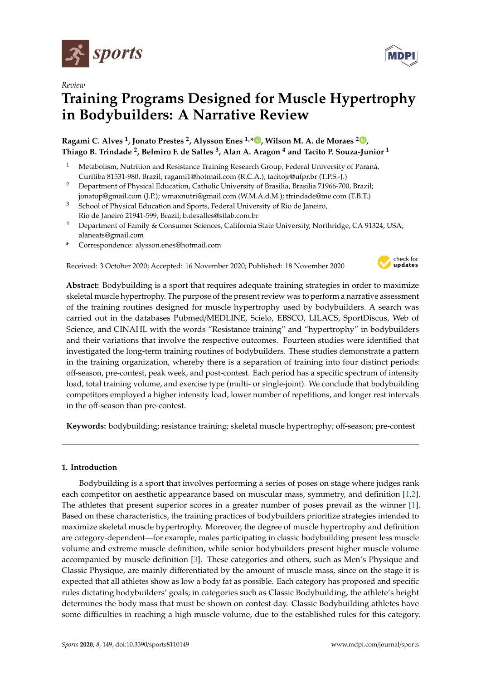

*Review*

# **Training Programs Designed for Muscle Hypertrophy in Bodybuilders: A Narrative Review**

# **Ragami C. Alves <sup>1</sup> , Jonato Prestes <sup>2</sup> , Alysson Enes 1,[\\*](https://orcid.org/0000-0002-8848-7946) , Wilson M. A. de Moraes <sup>2</sup> [,](https://orcid.org/0000-0001-5155-3535) Thiago B. Trindade <sup>2</sup> , Belmiro F. de Salles <sup>3</sup> , Alan A. Aragon <sup>4</sup> and Tacito P. Souza-Junior <sup>1</sup>**

- <sup>1</sup> Metabolism, Nutrition and Resistance Training Research Group, Federal University of Paraná, Curitiba 81531-980, Brazil; ragami1@hotmail.com (R.C.A.); tacitojr@ufpr.br (T.P.S.-J.)
- <sup>2</sup> Department of Physical Education, Catholic University of Brasilia, Brasilia 71966-700, Brazil; jonatop@gmail.com (J.P.); wmaxnutri@gmail.com (W.M.A.d.M.); ttrindade@me.com (T.B.T.)
- School of Physical Education and Sports, Federal University of Rio de Janeiro, Rio de Janeiro 21941-599, Brazil; b.desalles@stlab.com.br
- <sup>4</sup> Department of Family & Consumer Sciences, California State University, Northridge, CA 91324, USA; alaneats@gmail.com
- **\*** Correspondence: alysson.enes@hotmail.com

Received: 3 October 2020; Accepted: 16 November 2020; Published: 18 November 2020



**Abstract:** Bodybuilding is a sport that requires adequate training strategies in order to maximize skeletal muscle hypertrophy. The purpose of the present review was to perform a narrative assessment of the training routines designed for muscle hypertrophy used by bodybuilders. A search was carried out in the databases Pubmed/MEDLINE, Scielo, EBSCO, LILACS, SportDiscus, Web of Science, and CINAHL with the words "Resistance training" and "hypertrophy" in bodybuilders and their variations that involve the respective outcomes. Fourteen studies were identified that investigated the long-term training routines of bodybuilders. These studies demonstrate a pattern in the training organization, whereby there is a separation of training into four distinct periods: off-season, pre-contest, peak week, and post-contest. Each period has a specific spectrum of intensity load, total training volume, and exercise type (multi- or single-joint). We conclude that bodybuilding competitors employed a higher intensity load, lower number of repetitions, and longer rest intervals in the off-season than pre-contest.

**Keywords:** bodybuilding; resistance training; skeletal muscle hypertrophy; off-season; pre-contest

# **1. Introduction**

Bodybuilding is a sport that involves performing a series of poses on stage where judges rank each competitor on aesthetic appearance based on muscular mass, symmetry, and definition [\[1,](#page-12-0)[2\]](#page-12-1). The athletes that present superior scores in a greater number of poses prevail as the winner [\[1\]](#page-12-0). Based on these characteristics, the training practices of bodybuilders prioritize strategies intended to maximize skeletal muscle hypertrophy. Moreover, the degree of muscle hypertrophy and definition are category-dependent—for example, males participating in classic bodybuilding present less muscle volume and extreme muscle definition, while senior bodybuilders present higher muscle volume accompanied by muscle definition [\[3\]](#page-12-2). These categories and others, such as Men's Physique and Classic Physique, are mainly differentiated by the amount of muscle mass, since on the stage it is expected that all athletes show as low a body fat as possible. Each category has proposed and specific rules dictating bodybuilders' goals; in categories such as Classic Bodybuilding, the athlete's height determines the body mass that must be shown on contest day. Classic Bodybuilding athletes have some difficulties in reaching a high muscle volume, due to the established rules for this category.

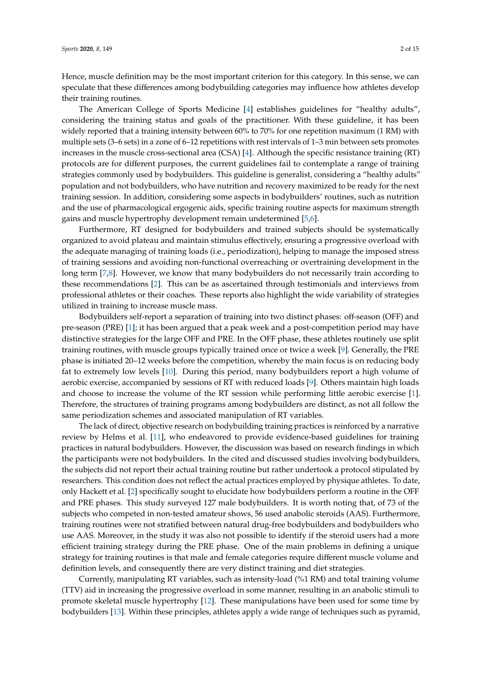Hence, muscle definition may be the most important criterion for this category. In this sense, we can speculate that these differences among bodybuilding categories may influence how athletes develop their training routines.

The American College of Sports Medicine [\[4\]](#page-12-3) establishes guidelines for "healthy adults", considering the training status and goals of the practitioner. With these guideline, it has been widely reported that a training intensity between 60% to 70% for one repetition maximum (1 RM) with multiple sets (3–6 sets) in a zone of 6–12 repetitions with rest intervals of 1–3 min between sets promotes increases in the muscle cross-sectional area (CSA) [\[4\]](#page-12-3). Although the specific resistance training (RT) protocols are for different purposes, the current guidelines fail to contemplate a range of training strategies commonly used by bodybuilders. This guideline is generalist, considering a "healthy adults" population and not bodybuilders, who have nutrition and recovery maximized to be ready for the next training session. In addition, considering some aspects in bodybuilders' routines, such as nutrition and the use of pharmacological ergogenic aids, specific training routine aspects for maximum strength gains and muscle hypertrophy development remain undetermined [\[5,](#page-12-4)[6\]](#page-12-5).

Furthermore, RT designed for bodybuilders and trained subjects should be systematically organized to avoid plateau and maintain stimulus effectively, ensuring a progressive overload with the adequate managing of training loads (i.e., periodization), helping to manage the imposed stress of training sessions and avoiding non-functional overreaching or overtraining development in the long term [\[7,](#page-12-6)[8\]](#page-12-7). However, we know that many bodybuilders do not necessarily train according to these recommendations [\[2\]](#page-12-1). This can be as ascertained through testimonials and interviews from professional athletes or their coaches. These reports also highlight the wide variability of strategies utilized in training to increase muscle mass.

Bodybuilders self-report a separation of training into two distinct phases: off-season (OFF) and pre-season (PRE) [\[1\]](#page-12-0); it has been argued that a peak week and a post-competition period may have distinctive strategies for the large OFF and PRE. In the OFF phase, these athletes routinely use split training routines, with muscle groups typically trained once or twice a week [\[9\]](#page-12-8). Generally, the PRE phase is initiated 20–12 weeks before the competition, whereby the main focus is on reducing body fat to extremely low levels [\[10\]](#page-12-9). During this period, many bodybuilders report a high volume of aerobic exercise, accompanied by sessions of RT with reduced loads [\[9\]](#page-12-8). Others maintain high loads and choose to increase the volume of the RT session while performing little aerobic exercise [\[1\]](#page-12-0). Therefore, the structures of training programs among bodybuilders are distinct, as not all follow the same periodization schemes and associated manipulation of RT variables.

The lack of direct, objective research on bodybuilding training practices is reinforced by a narrative review by Helms et al. [\[11\]](#page-12-10), who endeavored to provide evidence-based guidelines for training practices in natural bodybuilders. However, the discussion was based on research findings in which the participants were not bodybuilders. In the cited and discussed studies involving bodybuilders, the subjects did not report their actual training routine but rather undertook a protocol stipulated by researchers. This condition does not reflect the actual practices employed by physique athletes. To date, only Hackett et al. [\[2\]](#page-12-1) specifically sought to elucidate how bodybuilders perform a routine in the OFF and PRE phases. This study surveyed 127 male bodybuilders. It is worth noting that, of 73 of the subjects who competed in non-tested amateur shows, 56 used anabolic steroids (AAS). Furthermore, training routines were not stratified between natural drug-free bodybuilders and bodybuilders who use AAS. Moreover, in the study it was also not possible to identify if the steroid users had a more efficient training strategy during the PRE phase. One of the main problems in defining a unique strategy for training routines is that male and female categories require different muscle volume and definition levels, and consequently there are very distinct training and diet strategies.

Currently, manipulating RT variables, such as intensity-load (%1 RM) and total training volume (TTV) aid in increasing the progressive overload in some manner, resulting in an anabolic stimuli to promote skeletal muscle hypertrophy [\[12\]](#page-12-11). These manipulations have been used for some time by bodybuilders [\[13\]](#page-12-12). Within these principles, athletes apply a wide range of techniques such as pyramid,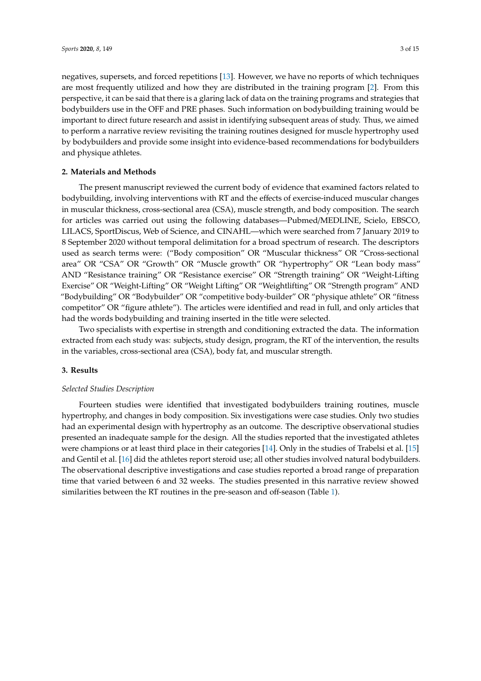negatives, supersets, and forced repetitions [\[13\]](#page-12-12). However, we have no reports of which techniques are most frequently utilized and how they are distributed in the training program [\[2\]](#page-12-1). From this perspective, it can be said that there is a glaring lack of data on the training programs and strategies that bodybuilders use in the OFF and PRE phases. Such information on bodybuilding training would be important to direct future research and assist in identifying subsequent areas of study. Thus, we aimed to perform a narrative review revisiting the training routines designed for muscle hypertrophy used by bodybuilders and provide some insight into evidence-based recommendations for bodybuilders and physique athletes.

### **2. Materials and Methods**

The present manuscript reviewed the current body of evidence that examined factors related to bodybuilding, involving interventions with RT and the effects of exercise-induced muscular changes in muscular thickness, cross-sectional area (CSA), muscle strength, and body composition. The search for articles was carried out using the following databases—Pubmed/MEDLINE, Scielo, EBSCO, LILACS, SportDiscus, Web of Science, and CINAHL—which were searched from 7 January 2019 to 8 September 2020 without temporal delimitation for a broad spectrum of research. The descriptors used as search terms were: ("Body composition" OR "Muscular thickness" OR "Cross-sectional area" OR "CSA" OR "Growth" OR "Muscle growth" OR "hypertrophy" OR "Lean body mass" AND "Resistance training" OR "Resistance exercise" OR "Strength training" OR "Weight-Lifting Exercise" OR "Weight-Lifting" OR "Weight Lifting" OR "Weightlifting" OR "Strength program" AND "Bodybuilding" OR "Bodybuilder" OR "competitive body-builder" OR "physique athlete" OR "fitness competitor" OR "figure athlete"). The articles were identified and read in full, and only articles that had the words bodybuilding and training inserted in the title were selected.

Two specialists with expertise in strength and conditioning extracted the data. The information extracted from each study was: subjects, study design, program, the RT of the intervention, the results in the variables, cross-sectional area (CSA), body fat, and muscular strength.

# **3. Results**

#### *Selected Studies Description*

Fourteen studies were identified that investigated bodybuilders training routines, muscle hypertrophy, and changes in body composition. Six investigations were case studies. Only two studies had an experimental design with hypertrophy as an outcome. The descriptive observational studies presented an inadequate sample for the design. All the studies reported that the investigated athletes were champions or at least third place in their categories [\[14\]](#page-12-13). Only in the studies of Trabelsi et al. [\[15\]](#page-12-14) and Gentil et al. [\[16\]](#page-13-0) did the athletes report steroid use; all other studies involved natural bodybuilders. The observational descriptive investigations and case studies reported a broad range of preparation time that varied between 6 and 32 weeks. The studies presented in this narrative review showed similarities between the RT routines in the pre-season and off-season (Table [1\)](#page-3-0).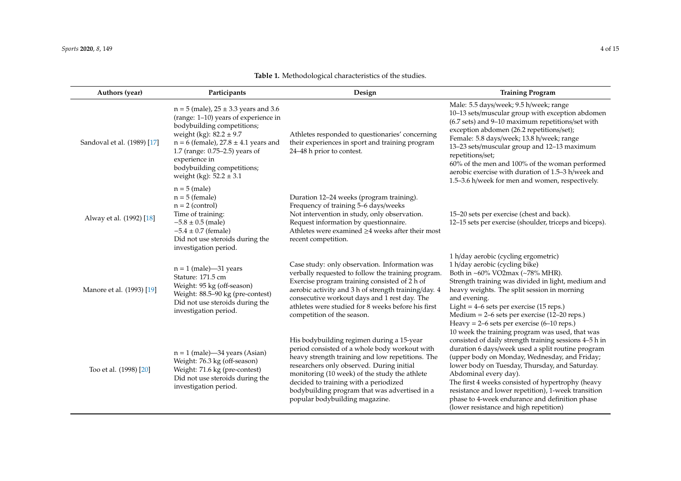<span id="page-3-0"></span>

| Authors (year)              | Participants                                                                                                                                                                                                                                                                                                  | Design                                                                                                                                                                                                                                                                                                                                                                   | <b>Training Program</b>                                                                                                                                                                                                                                                                                                                                                                                                                                                                            |
|-----------------------------|---------------------------------------------------------------------------------------------------------------------------------------------------------------------------------------------------------------------------------------------------------------------------------------------------------------|--------------------------------------------------------------------------------------------------------------------------------------------------------------------------------------------------------------------------------------------------------------------------------------------------------------------------------------------------------------------------|----------------------------------------------------------------------------------------------------------------------------------------------------------------------------------------------------------------------------------------------------------------------------------------------------------------------------------------------------------------------------------------------------------------------------------------------------------------------------------------------------|
| Sandoval et al. (1989) [17] | $n = 5$ (male), $25 \pm 3.3$ years and 3.6<br>(range: 1-10) years of experience in<br>bodybuilding competitions;<br>weight (kg): $82.2 \pm 9.7$<br>$n = 6$ (female), $27.8 \pm 4.1$ years and<br>1.7 (range: 0.75-2.5) years of<br>experience in<br>bodybuilding competitions;<br>weight (kg): $52.2 \pm 3.1$ | Athletes responded to questionaries' concerning<br>their experiences in sport and training program<br>24–48 h prior to contest.                                                                                                                                                                                                                                          | Male: 5.5 days/week; 9.5 h/week; range<br>10-13 sets/muscular group with exception abdomen<br>(6.7 sets) and 9-10 maximum repetitions/set with<br>exception abdomen (26.2 repetitions/set);<br>Female: 5.8 days/week; 13.8 h/week; range<br>13-23 sets/muscular group and 12-13 maximum<br>repetitions/set;<br>60% of the men and 100% of the woman performed<br>aerobic exercise with duration of 1.5-3 h/week and<br>1.5-3.6 h/week for men and women, respectively.                             |
| Alway et al. (1992) [18]    | $n = 5$ (male)<br>$n = 5$ (female)<br>$n = 2$ (control)<br>Time of training:<br>$-5.8 \pm 0.5$ (male)<br>$-5.4 \pm 0.7$ (female)<br>Did not use steroids during the<br>investigation period.                                                                                                                  | Duration 12-24 weeks (program training).<br>Frequency of training 5-6 days/weeks<br>Not intervention in study, only observation.<br>Request information by questionnaire.<br>Athletes were examined $\geq$ 4 weeks after their most<br>recent competition.                                                                                                               | 15–20 sets per exercise (chest and back).<br>12-15 sets per exercise (shoulder, triceps and biceps).                                                                                                                                                                                                                                                                                                                                                                                               |
| Manore et al. (1993) [19]   | $n = 1$ (male)—31 years<br>Stature: 171.5 cm<br>Weight: 95 kg (off-season)<br>Weight: 88.5-90 kg (pre-contest)<br>Did not use steroids during the<br>investigation period.                                                                                                                                    | Case study: only observation. Information was<br>verbally requested to follow the training program.<br>Exercise program training consisted of 2 h of<br>aerobic activity and 3 h of strength training/day. 4<br>consecutive workout days and 1 rest day. The<br>athletes were studied for 8 weeks before his first<br>competition of the season.                         | 1 h/day aerobic (cycling ergometric)<br>1 h/day aerobic (cycling bike)<br>Both in ~60% VO2max (~78% MHR).<br>Strength training was divided in light, medium and<br>heavy weights. The split session in morning<br>and evening.<br>Light = $4-6$ sets per exercise (15 reps.)<br>Medium = $2-6$ sets per exercise (12-20 reps.)<br>Heavy = $2-6$ sets per exercise (6-10 reps.)                                                                                                                     |
| Too et al. (1998) [20]      | $n = 1$ (male)—34 years (Asian)<br>Weight: 76.3 kg (off-season)<br>Weight: 71.6 kg (pre-contest)<br>Did not use steroids during the<br>investigation period.                                                                                                                                                  | His bodybuilding regimen during a 15-year<br>period consisted of a whole body workout with<br>heavy strength training and low repetitions. The<br>researchers only observed. During initial<br>monitoring (10 week) of the study the athlete<br>decided to training with a periodized<br>bodybuilding program that was advertised in a<br>popular bodybuilding magazine. | 10 week the training program was used, that was<br>consisted of daily strength training sessions 4-5 h in<br>duration 6 days/week used a split routine program<br>(upper body on Monday, Wednesday, and Friday;<br>lower body on Tuesday, Thursday, and Saturday.<br>Abdominal every day).<br>The first 4 weeks consisted of hypertrophy (heavy<br>resistance and lower repetition), 1-week transition<br>phase to 4-week endurance and definition phase<br>(lower resistance and high repetition) |

# **Table 1.** Methodological characteristics of the studies.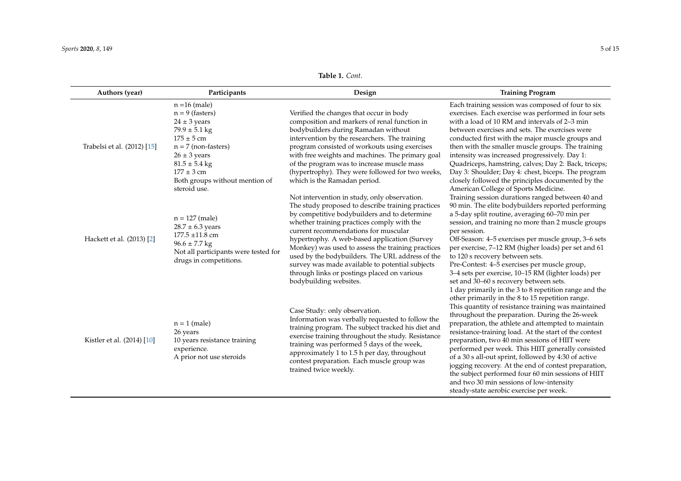## **Table 1.** *Cont*.

| Authors (year)              | Participants                                                                                                                                                                                                                                  | Design                                                                                                                                                                                                                                                                                                                                                                                                                                                                                                                       | <b>Training Program</b>                                                                                                                                                                                                                                                                                                                                                                                                                                                                                                                                                                                                                     |
|-----------------------------|-----------------------------------------------------------------------------------------------------------------------------------------------------------------------------------------------------------------------------------------------|------------------------------------------------------------------------------------------------------------------------------------------------------------------------------------------------------------------------------------------------------------------------------------------------------------------------------------------------------------------------------------------------------------------------------------------------------------------------------------------------------------------------------|---------------------------------------------------------------------------------------------------------------------------------------------------------------------------------------------------------------------------------------------------------------------------------------------------------------------------------------------------------------------------------------------------------------------------------------------------------------------------------------------------------------------------------------------------------------------------------------------------------------------------------------------|
| Trabelsi et al. (2012) [15] | $n = 16$ (male)<br>$n = 9$ (fasters)<br>$24 \pm 3$ years<br>$79.9 \pm 5.1 \text{ kg}$<br>$175 \pm 5$ cm<br>$n = 7$ (non-fasters)<br>$26 \pm 3$ years<br>$81.5 \pm 5.4$ kg<br>$177 \pm 3$ cm<br>Both groups without mention of<br>steroid use. | Verified the changes that occur in body<br>composition and markers of renal function in<br>bodybuilders during Ramadan without<br>intervention by the researchers. The training<br>program consisted of workouts using exercises<br>with free weights and machines. The primary goal<br>of the program was to increase muscle mass<br>(hypertrophy). They were followed for two weeks,<br>which is the Ramadan period.                                                                                                       | Each training session was composed of four to six<br>exercises. Each exercise was performed in four sets<br>with a load of 10 RM and intervals of 2-3 min<br>between exercises and sets. The exercises were<br>conducted first with the major muscle groups and<br>then with the smaller muscle groups. The training<br>intensity was increased progressively. Day 1:<br>Quadriceps, hamstring, calves; Day 2: Back, triceps;<br>Day 3: Shoulder; Day 4: chest, biceps. The program<br>closely followed the principles documented by the<br>American College of Sports Medicine.                                                            |
| Hackett et al. (2013) [2]   | $n = 127$ (male)<br>$28.7 \pm 6.3$ years<br>$177.5 \pm 11.8$ cm<br>$96.6 \pm 7.7$ kg<br>Not all participants were tested for<br>drugs in competitions.                                                                                        | Not intervention in study, only observation.<br>The study proposed to describe training practices<br>by competitive bodybuilders and to determine<br>whether training practices comply with the<br>current recommendations for muscular<br>hypertrophy. A web-based application (Survey<br>Monkey) was used to assess the training practices<br>used by the bodybuilders. The URL address of the<br>survey was made available to potential subjects<br>through links or postings placed on various<br>bodybuilding websites. | Training session durations ranged between 40 and<br>90 min. The elite bodybuilders reported performing<br>a 5-day split routine, averaging 60-70 min per<br>session, and training no more than 2 muscle groups<br>per session.<br>Off-Season: 4-5 exercises per muscle group, 3-6 sets<br>per exercise, 7-12 RM (higher loads) per set and 61<br>to 120 s recovery between sets.<br>Pre-Contest: 4-5 exercises per muscle group,<br>3-4 sets per exercise, 10-15 RM (lighter loads) per<br>set and 30-60 s recovery between sets.<br>1 day primarily in the 3 to 8 repetition range and the                                                 |
| Kistler et al. (2014) [10]  | $n = 1$ (male)<br>26 years<br>10 years resistance training<br>experience.<br>A prior not use steroids                                                                                                                                         | Case Study: only observation.<br>Information was verbally requested to follow the<br>training program. The subject tracked his diet and<br>exercise training throughout the study. Resistance<br>training was performed 5 days of the week,<br>approximately 1 to 1.5 h per day, throughout<br>contest preparation. Each muscle group was<br>trained twice weekly.                                                                                                                                                           | other primarily in the 8 to 15 repetition range.<br>This quantity of resistance training was maintained<br>throughout the preparation. During the 26-week<br>preparation, the athlete and attempted to maintain<br>resistance-training load. At the start of the contest<br>preparation, two 40 min sessions of HIIT were<br>performed per week. This HIIT generally consisted<br>of a 30 s all-out sprint, followed by 4:30 of active<br>jogging recovery. At the end of contest preparation,<br>the subject performed four 60 min sessions of HIIT<br>and two 30 min sessions of low-intensity<br>steady-state aerobic exercise per week. |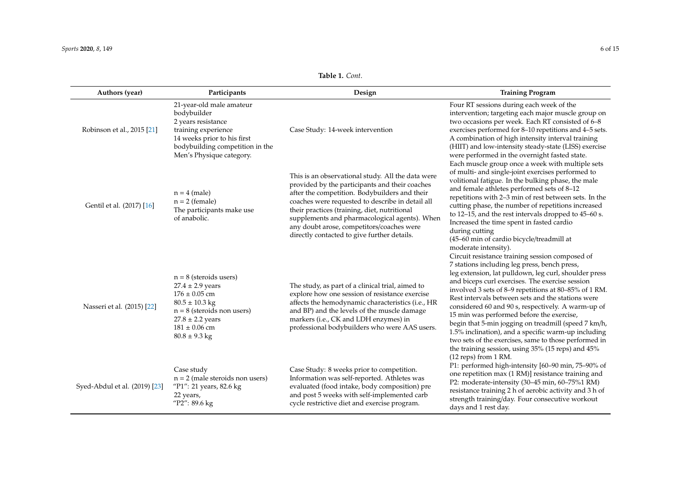|  | Table 1. Cont. |
|--|----------------|
|--|----------------|

| Authors (year)                | Participants                                                                                                                                                                                  | Design                                                                                                                                                                                                                                                                                                                                                                                                | <b>Training Program</b>                                                                                                                                                                                                                                                                                                                                                                                                                                                                                                                                                                                                        |
|-------------------------------|-----------------------------------------------------------------------------------------------------------------------------------------------------------------------------------------------|-------------------------------------------------------------------------------------------------------------------------------------------------------------------------------------------------------------------------------------------------------------------------------------------------------------------------------------------------------------------------------------------------------|--------------------------------------------------------------------------------------------------------------------------------------------------------------------------------------------------------------------------------------------------------------------------------------------------------------------------------------------------------------------------------------------------------------------------------------------------------------------------------------------------------------------------------------------------------------------------------------------------------------------------------|
| Robinson et al., 2015 [21]    | 21-year-old male amateur<br>bodybuilder<br>2 years resistance<br>training experience<br>14 weeks prior to his first<br>bodybuilding competition in the<br>Men's Physique category.            | Case Study: 14-week intervention                                                                                                                                                                                                                                                                                                                                                                      | Four RT sessions during each week of the<br>intervention; targeting each major muscle group on<br>two occasions per week. Each RT consisted of 6-8<br>exercises performed for 8-10 repetitions and 4-5 sets.<br>A combination of high intensity interval training<br>(HIIT) and low-intensity steady-state (LISS) exercise<br>were performed in the overnight fasted state.                                                                                                                                                                                                                                                    |
| Gentil et al. (2017) [16]     | $n = 4$ (male)<br>$n = 2$ (female)<br>The participants make use<br>of anabolic.                                                                                                               | This is an observational study. All the data were<br>provided by the participants and their coaches<br>after the competition. Bodybuilders and their<br>coaches were requested to describe in detail all<br>their practices (training, diet, nutritional<br>supplements and pharmacological agents). When<br>any doubt arose, competitors/coaches were<br>directly contacted to give further details. | Each muscle group once a week with multiple sets<br>of multi- and single-joint exercises performed to<br>volitional fatigue. In the bulking phase, the male<br>and female athletes performed sets of 8-12<br>repetitions with 2-3 min of rest between sets. In the<br>cutting phase, the number of repetitions increased<br>to 12-15, and the rest intervals dropped to 45-60 s.<br>Increased the time spent in fasted cardio<br>during cutting<br>(45-60 min of cardio bicycle/treadmill at<br>moderate intensity).<br>Circuit resistance training session composed of                                                        |
| Nasseri et al. (2015) [22]    | $n = 8$ (steroids users)<br>$27.4 \pm 2.9$ years<br>$176 \pm 0.05$ cm<br>$80.5 \pm 10.3$ kg<br>$n = 8$ (steroids non users)<br>$27.8 \pm 2.2$ years<br>$181 \pm 0.06$ cm<br>$80.8 \pm 9.3$ kg | The study, as part of a clinical trial, aimed to<br>explore how one session of resistance exercise<br>affects the hemodynamic characteristics (i.e., HR<br>and BP) and the levels of the muscle damage<br>markers (i.e., CK and LDH enzymes) in<br>professional bodybuilders who were AAS users.                                                                                                      | 7 stations including leg press, bench press,<br>leg extension, lat pulldown, leg curl, shoulder press<br>and biceps curl exercises. The exercise session<br>involved 3 sets of 8-9 repetitions at 80-85% of 1 RM.<br>Rest intervals between sets and the stations were<br>considered 60 and 90 s, respectively. A warm-up of<br>15 min was performed before the exercise,<br>begin that 5-min jogging on treadmill (speed 7 km/h,<br>1.5% inclination), and a specific warm-up including<br>two sets of the exercises, same to those performed in<br>the training session, using 35% (15 reps) and 45%<br>(12 reps) from 1 RM. |
| Syed-Abdul et al. (2019) [23] | Case study<br>$n = 2$ (male steroids non users)<br>"P1": 21 years, 82.6 kg<br>22 years,<br>"P2": 89.6 kg                                                                                      | Case Study: 8 weeks prior to competition.<br>Information was self-reported. Athletes was<br>evaluated (food intake, body composition) pre<br>and post 5 weeks with self-implemented carb<br>cycle restrictive diet and exercise program.                                                                                                                                                              | P1: performed high-intensity [60-90 min, 75-90% of<br>one repetition max (1 RM)] resistance training and<br>P2: moderate-intensity (30-45 min, 60-75%1 RM)<br>resistance training 2 h of aerobic activity and 3 h of<br>strength training/day. Four consecutive workout<br>days and 1 rest day.                                                                                                                                                                                                                                                                                                                                |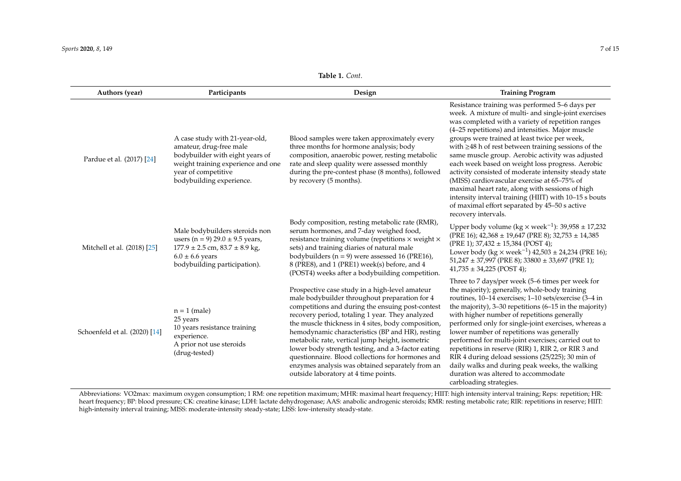| Table 1. Cont. |  |
|----------------|--|
|----------------|--|

| Authors (year)                | Participants                                                                                                                                                                          | Design                                                                                                                                                                                                                                                                                                                                                                                                                                                                                                                                                                     | <b>Training Program</b>                                                                                                                                                                                                                                                                                                                                                                                                                                                                                                                                                                                                                                                                                                          |
|-------------------------------|---------------------------------------------------------------------------------------------------------------------------------------------------------------------------------------|----------------------------------------------------------------------------------------------------------------------------------------------------------------------------------------------------------------------------------------------------------------------------------------------------------------------------------------------------------------------------------------------------------------------------------------------------------------------------------------------------------------------------------------------------------------------------|----------------------------------------------------------------------------------------------------------------------------------------------------------------------------------------------------------------------------------------------------------------------------------------------------------------------------------------------------------------------------------------------------------------------------------------------------------------------------------------------------------------------------------------------------------------------------------------------------------------------------------------------------------------------------------------------------------------------------------|
| Pardue et al. (2017) [24]     | A case study with 21-year-old,<br>amateur, drug-free male<br>bodybuilder with eight years of<br>weight training experience and one<br>year of competitive<br>bodybuilding experience. | Blood samples were taken approximately every<br>three months for hormone analysis; body<br>composition, anaerobic power, resting metabolic<br>rate and sleep quality were assessed monthly<br>during the pre-contest phase (8 months), followed<br>by recovery (5 months).                                                                                                                                                                                                                                                                                                 | Resistance training was performed 5–6 days per<br>week. A mixture of multi- and single-joint exercises<br>was completed with a variety of repetition ranges<br>(4-25 repetitions) and intensities. Major muscle<br>groups were trained at least twice per week,<br>with $\geq$ 48 h of rest between training sessions of the<br>same muscle group. Aerobic activity was adjusted<br>each week based on weight loss progress. Aerobic<br>activity consisted of moderate intensity steady state<br>(MISS) cardiovascular exercise at 65-75% of<br>maximal heart rate, along with sessions of high<br>intensity interval training (HIIT) with 10-15 s bouts<br>of maximal effort separated by 45-50 s active<br>recovery intervals. |
| Mitchell et al. (2018) [25]   | Male bodybuilders steroids non<br>users ( $n = 9$ ) 29.0 ± 9.5 years,<br>$177.9 \pm 2.5$ cm, $83.7 \pm 8.9$ kg,<br>$6.0 \pm 6.6$ years<br>bodybuilding participation).                | Body composition, resting metabolic rate (RMR),<br>serum hormones, and 7-day weighed food,<br>resistance training volume (repetitions × weight ×<br>sets) and training diaries of natural male<br>bodybuilders ( $n = 9$ ) were assessed 16 (PRE16),<br>8 (PRE8), and 1 (PRE1) week(s) before, and 4<br>(POST4) weeks after a bodybuilding competition.                                                                                                                                                                                                                    | Upper body volume (kg $\times$ week <sup>-1</sup> ): 39,958 ± 17,232<br>(PRE 16); $42,368 \pm 19,647$ (PRE 8); $32,753 \pm 14,385$<br>(PRE 1); $37,432 \pm 15,384$ (POST 4);<br>Lower body (kg $\times$ week <sup>-1</sup> ) 42,503 ± 24,234 (PRE 16);<br>$51,247 \pm 37,997$ (PRE 8); 33800 $\pm$ 33,697 (PRE 1);<br>$41,735 \pm 34,225$ (POST 4);                                                                                                                                                                                                                                                                                                                                                                              |
| Schoenfeld et al. (2020) [14] | $n = 1$ (male)<br>25 years<br>10 years resistance training<br>experience.<br>A prior not use steroids<br>(drug-tested)                                                                | Prospective case study in a high-level amateur<br>male bodybuilder throughout preparation for 4<br>competitions and during the ensuing post-contest<br>recovery period, totaling 1 year. They analyzed<br>the muscle thickness in 4 sites, body composition,<br>hemodynamic characteristics (BP and HR), resting<br>metabolic rate, vertical jump height, isometric<br>lower body strength testing, and a 3-factor eating<br>questionnaire. Blood collections for hormones and<br>enzymes analysis was obtained separately from an<br>outside laboratory at 4 time points. | Three to 7 days/per week (5–6 times per week for<br>the majority); generally, whole-body training<br>routines, 10-14 exercises; 1-10 sets/exercise (3-4 in<br>the majority), 3-30 repetitions (6-15 in the majority)<br>with higher number of repetitions generally<br>performed only for single-joint exercises, whereas a<br>lower number of repetitions was generally<br>performed for multi-joint exercises; carried out to<br>repetitions in reserve (RIR) 1, RIR 2, or RIR 3 and<br>RIR 4 during deload sessions (25/225); 30 min of<br>daily walks and during peak weeks, the walking<br>duration was altered to accommodate<br>carbloading strategies.                                                                   |

Abbreviations: VO2max: maximum oxygen consumption; 1 RM: one repetition maximum; MHR: maximal heart frequency; HIIT: high intensity interval training; Reps: repetition; HR: heart frequency; BP: blood pressure; CK: creatine kinase; LDH: lactate dehydrogenase; AAS: anabolic androgenic steroids; RMR: resting metabolic rate; RIR: repetitions in reserve; HIIT: high-intensity interval training; MISS: moderate-intensity steady-state; LISS: low-intensity steady-state.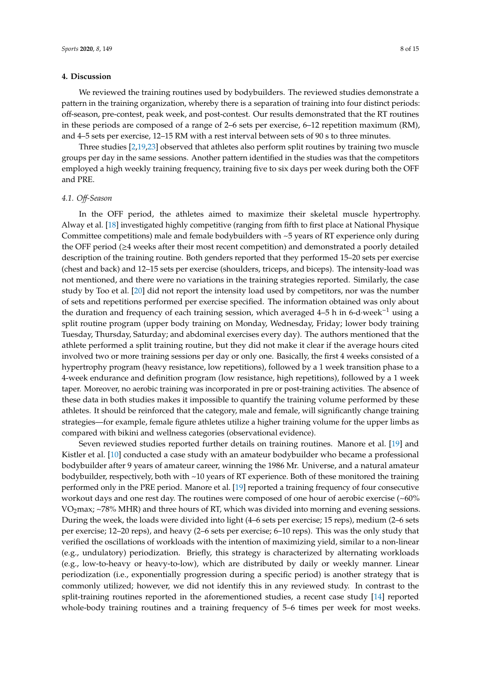#### **4. Discussion**

We reviewed the training routines used by bodybuilders. The reviewed studies demonstrate a pattern in the training organization, whereby there is a separation of training into four distinct periods: off-season, pre-contest, peak week, and post-contest. Our results demonstrated that the RT routines in these periods are composed of a range of 2–6 sets per exercise, 6–12 repetition maximum (RM), and 4–5 sets per exercise, 12–15 RM with a rest interval between sets of 90 s to three minutes.

Three studies [\[2](#page-12-1)[,19](#page-13-11)[,23\]](#page-13-12) observed that athletes also perform split routines by training two muscle groups per day in the same sessions. Another pattern identified in the studies was that the competitors employed a high weekly training frequency, training five to six days per week during both the OFF and PRE.

#### *4.1. O*ff*-Season*

In the OFF period, the athletes aimed to maximize their skeletal muscle hypertrophy. Alway et al. [\[18\]](#page-13-13) investigated highly competitive (ranging from fifth to first place at National Physique Committee competitions) male and female bodybuilders with ~5 years of RT experience only during the OFF period (≥4 weeks after their most recent competition) and demonstrated a poorly detailed description of the training routine. Both genders reported that they performed 15–20 sets per exercise (chest and back) and 12–15 sets per exercise (shoulders, triceps, and biceps). The intensity-load was not mentioned, and there were no variations in the training strategies reported. Similarly, the case study by Too et al. [\[20\]](#page-13-14) did not report the intensity load used by competitors, nor was the number of sets and repetitions performed per exercise specified. The information obtained was only about the duration and frequency of each training session, which averaged 4–5 h in 6-d·week<sup>-1</sup> using a split routine program (upper body training on Monday, Wednesday, Friday; lower body training Tuesday, Thursday, Saturday; and abdominal exercises every day). The authors mentioned that the athlete performed a split training routine, but they did not make it clear if the average hours cited involved two or more training sessions per day or only one. Basically, the first 4 weeks consisted of a hypertrophy program (heavy resistance, low repetitions), followed by a 1 week transition phase to a 4-week endurance and definition program (low resistance, high repetitions), followed by a 1 week taper. Moreover, no aerobic training was incorporated in pre or post-training activities. The absence of these data in both studies makes it impossible to quantify the training volume performed by these athletes. It should be reinforced that the category, male and female, will significantly change training strategies—for example, female figure athletes utilize a higher training volume for the upper limbs as compared with bikini and wellness categories (observational evidence).

Seven reviewed studies reported further details on training routines. Manore et al. [\[19\]](#page-13-11) and Kistler et al. [\[10\]](#page-12-9) conducted a case study with an amateur bodybuilder who became a professional bodybuilder after 9 years of amateur career, winning the 1986 Mr. Universe, and a natural amateur bodybuilder, respectively, both with ~10 years of RT experience. Both of these monitored the training performed only in the PRE period. Manore et al. [\[19\]](#page-13-11) reported a training frequency of four consecutive workout days and one rest day. The routines were composed of one hour of aerobic exercise (~60% VO2max; ~78% MHR) and three hours of RT, which was divided into morning and evening sessions. During the week, the loads were divided into light (4–6 sets per exercise; 15 reps), medium (2–6 sets per exercise; 12–20 reps), and heavy (2–6 sets per exercise; 6–10 reps). This was the only study that verified the oscillations of workloads with the intention of maximizing yield, similar to a non-linear (e.g., undulatory) periodization. Briefly, this strategy is characterized by alternating workloads (e.g., low-to-heavy or heavy-to-low), which are distributed by daily or weekly manner. Linear periodization (i.e., exponentially progression during a specific period) is another strategy that is commonly utilized; however, we did not identify this in any reviewed study. In contrast to the split-training routines reported in the aforementioned studies, a recent case study [\[14\]](#page-12-13) reported whole-body training routines and a training frequency of 5–6 times per week for most weeks.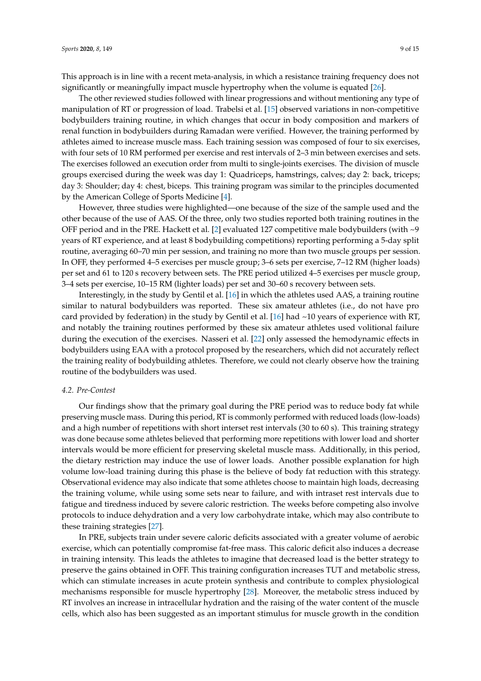This approach is in line with a recent meta-analysis, in which a resistance training frequency does not significantly or meaningfully impact muscle hypertrophy when the volume is equated [\[26\]](#page-13-15).

The other reviewed studies followed with linear progressions and without mentioning any type of manipulation of RT or progression of load. Trabelsi et al. [\[15\]](#page-12-14) observed variations in non-competitive bodybuilders training routine, in which changes that occur in body composition and markers of renal function in bodybuilders during Ramadan were verified. However, the training performed by athletes aimed to increase muscle mass. Each training session was composed of four to six exercises, with four sets of 10 RM performed per exercise and rest intervals of 2–3 min between exercises and sets. The exercises followed an execution order from multi to single-joints exercises. The division of muscle groups exercised during the week was day 1: Quadriceps, hamstrings, calves; day 2: back, triceps; day 3: Shoulder; day 4: chest, biceps. This training program was similar to the principles documented by the American College of Sports Medicine [\[4\]](#page-12-3).

However, three studies were highlighted—one because of the size of the sample used and the other because of the use of AAS. Of the three, only two studies reported both training routines in the OFF period and in the PRE. Hackett et al. [\[2\]](#page-12-1) evaluated 127 competitive male bodybuilders (with ~9 years of RT experience, and at least 8 bodybuilding competitions) reporting performing a 5-day split routine, averaging 60–70 min per session, and training no more than two muscle groups per session. In OFF, they performed 4–5 exercises per muscle group; 3–6 sets per exercise, 7–12 RM (higher loads) per set and 61 to 120 s recovery between sets. The PRE period utilized 4–5 exercises per muscle group, 3–4 sets per exercise, 10–15 RM (lighter loads) per set and 30–60 s recovery between sets.

Interestingly, in the study by Gentil et al. [\[16\]](#page-13-0) in which the athletes used AAS, a training routine similar to natural bodybuilders was reported. These six amateur athletes (i.e., do not have pro card provided by federation) in the study by Gentil et al. [\[16\]](#page-13-0) had  $\sim$ 10 years of experience with RT, and notably the training routines performed by these six amateur athletes used volitional failure during the execution of the exercises. Nasseri et al. [\[22\]](#page-13-16) only assessed the hemodynamic effects in bodybuilders using EAA with a protocol proposed by the researchers, which did not accurately reflect the training reality of bodybuilding athletes. Therefore, we could not clearly observe how the training routine of the bodybuilders was used.

#### *4.2. Pre-Contest*

Our findings show that the primary goal during the PRE period was to reduce body fat while preserving muscle mass. During this period, RT is commonly performed with reduced loads (low-loads) and a high number of repetitions with short interset rest intervals (30 to 60 s). This training strategy was done because some athletes believed that performing more repetitions with lower load and shorter intervals would be more efficient for preserving skeletal muscle mass. Additionally, in this period, the dietary restriction may induce the use of lower loads. Another possible explanation for high volume low-load training during this phase is the believe of body fat reduction with this strategy. Observational evidence may also indicate that some athletes choose to maintain high loads, decreasing the training volume, while using some sets near to failure, and with intraset rest intervals due to fatigue and tiredness induced by severe caloric restriction. The weeks before competing also involve protocols to induce dehydration and a very low carbohydrate intake, which may also contribute to these training strategies [\[27\]](#page-13-17).

In PRE, subjects train under severe caloric deficits associated with a greater volume of aerobic exercise, which can potentially compromise fat-free mass. This caloric deficit also induces a decrease in training intensity. This leads the athletes to imagine that decreased load is the better strategy to preserve the gains obtained in OFF. This training configuration increases TUT and metabolic stress, which can stimulate increases in acute protein synthesis and contribute to complex physiological mechanisms responsible for muscle hypertrophy [\[28\]](#page-13-18). Moreover, the metabolic stress induced by RT involves an increase in intracellular hydration and the raising of the water content of the muscle cells, which also has been suggested as an important stimulus for muscle growth in the condition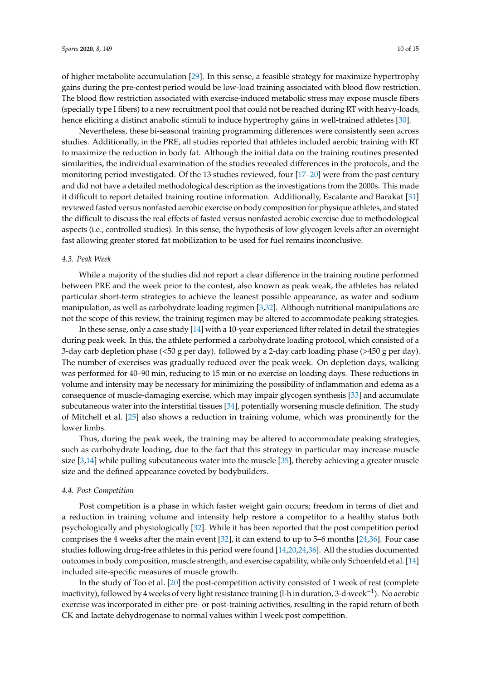of higher metabolite accumulation [\[29\]](#page-13-19). In this sense, a feasible strategy for maximize hypertrophy gains during the pre-contest period would be low-load training associated with blood flow restriction. The blood flow restriction associated with exercise-induced metabolic stress may expose muscle fibers (specially type I fibers) to a new recruitment pool that could not be reached during RT with heavy-loads, hence eliciting a distinct anabolic stimuli to induce hypertrophy gains in well-trained athletes [\[30\]](#page-13-20).

Nevertheless, these bi-seasonal training programming differences were consistently seen across studies. Additionally, in the PRE, all studies reported that athletes included aerobic training with RT to maximize the reduction in body fat. Although the initial data on the training routines presented similarities, the individual examination of the studies revealed differences in the protocols, and the monitoring period investigated. Of the 13 studies reviewed, four [\[17–](#page-13-21)[20\]](#page-13-14) were from the past century and did not have a detailed methodological description as the investigations from the 2000s. This made it difficult to report detailed training routine information. Additionally, Escalante and Barakat [\[31\]](#page-13-22) reviewed fasted versus nonfasted aerobic exercise on body composition for physique athletes, and stated the difficult to discuss the real effects of fasted versus nonfasted aerobic exercise due to methodological aspects (i.e., controlled studies). In this sense, the hypothesis of low glycogen levels after an overnight fast allowing greater stored fat mobilization to be used for fuel remains inconclusive.

#### *4.3. Peak Week*

While a majority of the studies did not report a clear difference in the training routine performed between PRE and the week prior to the contest, also known as peak weak, the athletes has related particular short-term strategies to achieve the leanest possible appearance, as water and sodium manipulation, as well as carbohydrate loading regimen [\[3](#page-12-2)[,32\]](#page-13-23). Although nutritional manipulations are not the scope of this review, the training regimen may be altered to accommodate peaking strategies.

In these sense, only a case study [\[14\]](#page-12-13) with a 10-year experienced lifter related in detail the strategies during peak week. In this, the athlete performed a carbohydrate loading protocol, which consisted of a 3-day carb depletion phase ( $\leq 50$  g per day). followed by a 2-day carb loading phase ( $>450$  g per day). The number of exercises was gradually reduced over the peak week. On depletion days, walking was performed for 40–90 min, reducing to 15 min or no exercise on loading days. These reductions in volume and intensity may be necessary for minimizing the possibility of inflammation and edema as a consequence of muscle-damaging exercise, which may impair glycogen synthesis [\[33\]](#page-13-24) and accumulate subcutaneous water into the interstitial tissues [\[34\]](#page-13-25), potentially worsening muscle definition. The study of Mitchell et al. [\[25\]](#page-13-26) also shows a reduction in training volume, which was prominently for the lower limbs.

Thus, during the peak week, the training may be altered to accommodate peaking strategies, such as carbohydrate loading, due to the fact that this strategy in particular may increase muscle size [\[3,](#page-12-2)[14\]](#page-12-13) while pulling subcutaneous water into the muscle [\[35\]](#page-13-27), thereby achieving a greater muscle size and the defined appearance coveted by bodybuilders.

#### *4.4. Post-Competition*

Post competition is a phase in which faster weight gain occurs; freedom in terms of diet and a reduction in training volume and intensity help restore a competitor to a healthy status both psychologically and physiologically [\[32\]](#page-13-23). While it has been reported that the post competition period comprises the 4 weeks after the main event [\[32\]](#page-13-23), it can extend to up to 5–6 months [\[24](#page-13-28)[,36\]](#page-13-29). Four case studies following drug-free athletes in this period were found [\[14](#page-12-13)[,20](#page-13-14)[,24](#page-13-28)[,36\]](#page-13-29). All the studies documented outcomes in body composition, muscle strength, and exercise capability, while only Schoenfeld et al. [\[14\]](#page-12-13) included site-specific measures of muscle growth.

In the study of Too et al. [\[20\]](#page-13-14) the post-competition activity consisted of 1 week of rest (complete inactivity), followed by 4 weeks of very light resistance training (l-h in duration, 3-d·week−<sup>1</sup> ). No aerobic exercise was incorporated in either pre- or post-training activities, resulting in the rapid return of both CK and lactate dehydrogenase to normal values within l week post competition.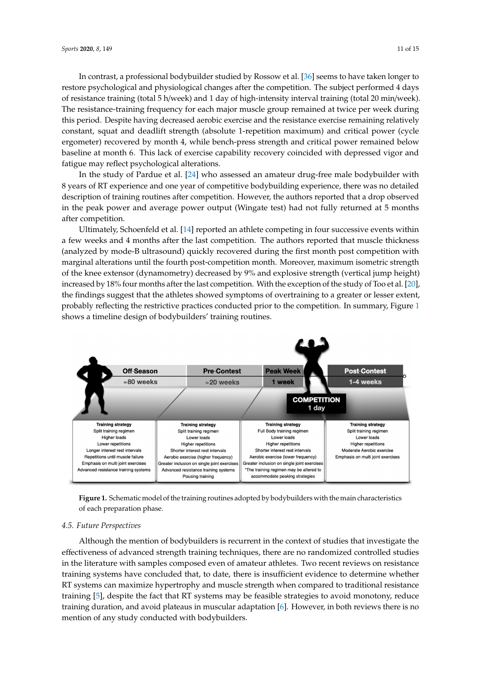In contrast, a professional bodybuilder studied by Rossow et al. [\[36\]](#page-13-29) seems to have taken longer to restore psychological and physiological changes after the competition. The subject performed 4 days of resistance training (total 5 h/week) and 1 day of high-intensity interval training (total 20 min/week). The resistance-training frequency for each major muscle group remained at twice per week during this period. Despite having decreased aerobic exercise and the resistance exercise remaining relatively r<br>constant, squat and deadlift strength (absolute 1-repetition maximum) and critical power (cycle ergometer) recovered by month 4, while bench-press strength and critical power remained below experience) recovered by mortal by mine bench-press strength and critical power remainted below.<br>baseline at month 6. This lack of exercise capability recovery coincided with depressed vigor and fatigue may reflect psychological alterations. remained at month 6. This lack of exercise capability recovery contenued with depressed vigor and de may reflect psychological and fathers.

In the study of Pardue et al. [\[24\]](#page-13-28) who assessed an amateur drug-free male bodybuilder with 8 years of RT experience and one year of competitive bodybuilding experience, there was no detailed years of RT experience and one year of competitive bodybuilding experience, there was no detailed description of training routines after competition. However, the authors reported that a drop observed description of training routines after competition. However, the authors reported that a drop in the peak power and average power output (Wingate test) had not fully returned at 5 months after competition. In the study of Pardue et al.  $[24]$  who assessed an amateur drug-free male bodybuilder with  $80$ 

Ultimately, Schoenfeld et al. [\[14\]](#page-12-13) reported an athlete competing in four successive events within Ultimately, Schoenfeld et al. [14] reported an athlete competing in four successive events within a few weeks and 4 months after the last competition. The authors reported that muscle thickness a few weeks and 4 months after the last competition. The authors reported that muscle thickness (analyzed by mode-B ultrasound) quickly recovered during the first month post competition with (analyzed by mode-B ultrasound) quickly recovered during the first month post competition with marginal alterations until the fourth post-competition month. Moreover, maximum isometric strength marginal alterations until the fourth post-competition month. Moreover, maximum isometric of the knee extensor (dynamometry) decreased by 9% and explosive strength (vertical jump height) increased by 18% four months after the last competition. With the exception of the study of Too et al. [\[20\]](#page-13-14), the findings suggest that the athletes showed symptoms of overtraining to a greater or lesser extent, probably reflecting the restrictive practices conducted prior to the competition. In summary, Figure [1](#page-10-0) shows a timeline design of bodybuilders' training routines.

<span id="page-10-0"></span>



#### *4.5. Future Perspectives 4.5. Future Perspectives*

Although the mention of bodybuilders is recurrent in the context of studies that investigate the Although the mention of bodybuilders is recurrent in the context of studies that investigate the effectiveness of advanced strength training techniques, there are no randomized controlled studies effectiveness of advanced strength training techniques, there are no randomized controlled studies in the literature with samples composed even of amateur athletes. Two recent reviews on resistance in the literature with samples composed even of amateur athletes. Two recent reviews on resistance training systems have concluded that, to date, there is insufficient evidence to determine whether RT systems can maximize hypertrophy and muscle strength when compared to traditional resistance training [5], despite the fact that RT systems may be feasible strategies to avoid monotony, reduce training [\[5\]](#page-12-4), despite the fact that RT systems may be feasible strategies to avoid monotony, reduce training duration, and avoid plateaus in muscular adaptation [6]. However, in both reviews there is training duration, and avoid plateaus in muscular adaptation [\[6\]](#page-12-5). However, in both reviews there is no mention of any study conducted with bodybuilders.

In fact, studies carried out with untrained individuals or even  $\mathcal{C}$  records or even  $\mathcal{C}$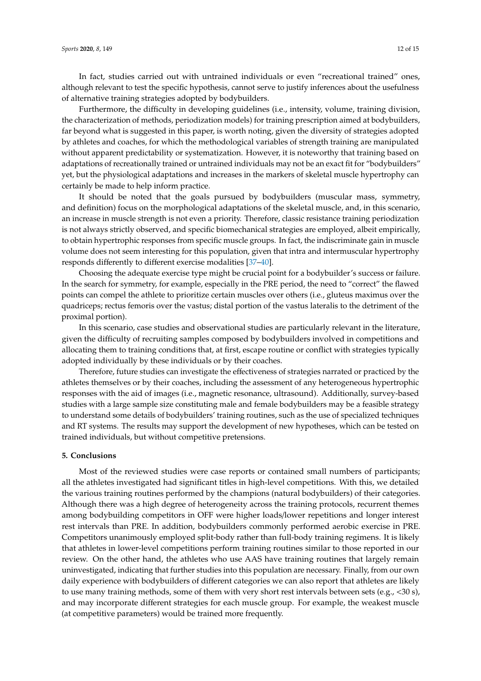In fact, studies carried out with untrained individuals or even "recreational trained" ones, although relevant to test the specific hypothesis, cannot serve to justify inferences about the usefulness of alternative training strategies adopted by bodybuilders.

Furthermore, the difficulty in developing guidelines (i.e., intensity, volume, training division, the characterization of methods, periodization models) for training prescription aimed at bodybuilders, far beyond what is suggested in this paper, is worth noting, given the diversity of strategies adopted by athletes and coaches, for which the methodological variables of strength training are manipulated without apparent predictability or systematization. However, it is noteworthy that training based on adaptations of recreationally trained or untrained individuals may not be an exact fit for "bodybuilders" yet, but the physiological adaptations and increases in the markers of skeletal muscle hypertrophy can certainly be made to help inform practice.

It should be noted that the goals pursued by bodybuilders (muscular mass, symmetry, and definition) focus on the morphological adaptations of the skeletal muscle, and, in this scenario, an increase in muscle strength is not even a priority. Therefore, classic resistance training periodization is not always strictly observed, and specific biomechanical strategies are employed, albeit empirically, to obtain hypertrophic responses from specific muscle groups. In fact, the indiscriminate gain in muscle volume does not seem interesting for this population, given that intra and intermuscular hypertrophy responds differently to different exercise modalities [\[37–](#page-14-0)[40\]](#page-14-1).

Choosing the adequate exercise type might be crucial point for a bodybuilder's success or failure. In the search for symmetry, for example, especially in the PRE period, the need to "correct" the flawed points can compel the athlete to prioritize certain muscles over others (i.e., gluteus maximus over the quadriceps; rectus femoris over the vastus; distal portion of the vastus lateralis to the detriment of the proximal portion).

In this scenario, case studies and observational studies are particularly relevant in the literature, given the difficulty of recruiting samples composed by bodybuilders involved in competitions and allocating them to training conditions that, at first, escape routine or conflict with strategies typically adopted individually by these individuals or by their coaches.

Therefore, future studies can investigate the effectiveness of strategies narrated or practiced by the athletes themselves or by their coaches, including the assessment of any heterogeneous hypertrophic responses with the aid of images (i.e., magnetic resonance, ultrasound). Additionally, survey-based studies with a large sample size constituting male and female bodybuilders may be a feasible strategy to understand some details of bodybuilders' training routines, such as the use of specialized techniques and RT systems. The results may support the development of new hypotheses, which can be tested on trained individuals, but without competitive pretensions.

#### **5. Conclusions**

Most of the reviewed studies were case reports or contained small numbers of participants; all the athletes investigated had significant titles in high-level competitions. With this, we detailed the various training routines performed by the champions (natural bodybuilders) of their categories. Although there was a high degree of heterogeneity across the training protocols, recurrent themes among bodybuilding competitors in OFF were higher loads/lower repetitions and longer interest rest intervals than PRE. In addition, bodybuilders commonly performed aerobic exercise in PRE. Competitors unanimously employed split-body rather than full-body training regimens. It is likely that athletes in lower-level competitions perform training routines similar to those reported in our review. On the other hand, the athletes who use AAS have training routines that largely remain uninvestigated, indicating that further studies into this population are necessary. Finally, from our own daily experience with bodybuilders of different categories we can also report that athletes are likely to use many training methods, some of them with very short rest intervals between sets (e.g., <30 s), and may incorporate different strategies for each muscle group. For example, the weakest muscle (at competitive parameters) would be trained more frequently.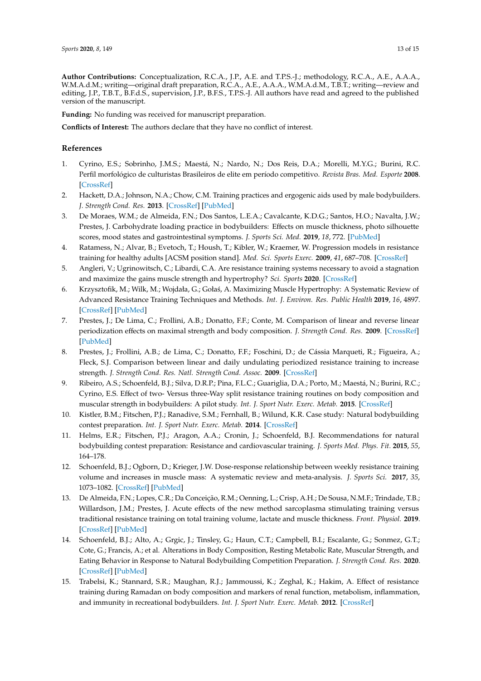<span id="page-12-16"></span>**Author Contributions:** Conceptualization, R.C.A., J.P., A.E. and T.P.S.-J.; methodology, R.C.A., A.E., A.A.A., W.M.A.d.M.; writing—original draft preparation, R.C.A., A.E., A.A.A., W.M.A.d.M., T.B.T.; writing—review and editing, J.P., T.B.T., B.F.d.S., supervision, J.P., B.F.S., T.P.S.-J. All authors have read and agreed to the published version of the manuscript.

**Funding:** No funding was received for manuscript preparation.

**Conflicts of Interest:** The authors declare that they have no conflict of interest.

#### **References**

- <span id="page-12-0"></span>1. Cyrino, E.S.; Sobrinho, J.M.S.; Maestá, N.; Nardo, N.; Dos Reis, D.A.; Morelli, M.Y.G.; Burini, R.C. Perfil morfológico de culturistas Brasileiros de elite em período competitivo. *Revista Bras. Med. Esporte* **2008**. [\[CrossRef\]](http://dx.doi.org/10.1590/S1517-86922008000500012)
- <span id="page-12-1"></span>2. Hackett, D.A.; Johnson, N.A.; Chow, C.M. Training practices and ergogenic aids used by male bodybuilders. *J. Strength Cond. Res.* **2013**. [\[CrossRef\]](http://dx.doi.org/10.1519/JSC.0b013e318271272a) [\[PubMed\]](http://www.ncbi.nlm.nih.gov/pubmed/22990567)
- <span id="page-12-2"></span>3. De Moraes, W.M.; de Almeida, F.N.; Dos Santos, L.E.A.; Cavalcante, K.D.G.; Santos, H.O.; Navalta, J.W.; Prestes, J. Carbohydrate loading practice in bodybuilders: Effects on muscle thickness, photo silhouette scores, mood states and gastrointestinal symptoms. *J. Sports Sci. Med.* **2019**, *18*, 772. [\[PubMed\]](http://www.ncbi.nlm.nih.gov/pubmed/31827362)
- <span id="page-12-3"></span>4. Ratamess, N.; Alvar, B.; Evetoch, T.; Housh, T.; Kibler, W.; Kraemer, W. Progression models in resistance training for healthy adults [ACSM position stand]. *Med. Sci. Sports Exerc.* **2009**, *41*, 687–708. [\[CrossRef\]](http://dx.doi.org/10.1249/MSS.0b013e3181915670)
- <span id="page-12-4"></span>5. Angleri, V.; Ugrinowitsch, C.; Libardi, C.A. Are resistance training systems necessary to avoid a stagnation and maximize the gains muscle strength and hypertrophy? *Sci. Sports* **2020**. [\[CrossRef\]](http://dx.doi.org/10.1016/j.scispo.2018.12.013)
- <span id="page-12-5"></span>6. Krzysztofik, M.; Wilk, M.; Wojdała, G.; Gołaś, A. Maximizing Muscle Hypertrophy: A Systematic Review of Advanced Resistance Training Techniques and Methods. *Int. J. Environ. Res. Public Health* **2019**, *16*, 4897. [\[CrossRef\]](http://dx.doi.org/10.3390/ijerph16244897) [\[PubMed\]](http://www.ncbi.nlm.nih.gov/pubmed/31817252)
- <span id="page-12-6"></span>7. Prestes, J.; De Lima, C.; Frollini, A.B.; Donatto, F.F.; Conte, M. Comparison of linear and reverse linear periodization effects on maximal strength and body composition. *J. Strength Cond. Res.* **2009**. [\[CrossRef\]](http://dx.doi.org/10.1519/JSC.0b013e3181874bf3) [\[PubMed\]](http://www.ncbi.nlm.nih.gov/pubmed/19057409)
- <span id="page-12-17"></span><span id="page-12-7"></span>8. Prestes, J.; Frollini, A.B.; de Lima, C.; Donatto, F.F.; Foschini, D.; de Cássia Marqueti, R.; Figueira, A.; Fleck, S.J. Comparison between linear and daily undulating periodized resistance training to increase strength. *J. Strength Cond. Res. Natl. Strength Cond. Assoc.* **2009**. [\[CrossRef\]](http://dx.doi.org/10.1519/JSC.0b013e3181c03548)
- <span id="page-12-15"></span><span id="page-12-8"></span>9. Ribeiro, A.S.; Schoenfeld, B.J.; Silva, D.R.P.; Pina, F.L.C.; Guariglia, D.A.; Porto, M.; Maestá, N.; Burini, R.C.; Cyrino, E.S. Effect of two- Versus three-Way split resistance training routines on body composition and muscular strength in bodybuilders: A pilot study. *Int. J. Sport Nutr. Exerc. Metab.* **2015**. [\[CrossRef\]](http://dx.doi.org/10.1123/ijsnem.2015-0077)
- <span id="page-12-9"></span>10. Kistler, B.M.; Fitschen, P.J.; Ranadive, S.M.; Fernhall, B.; Wilund, K.R. Case study: Natural bodybuilding contest preparation. *Int. J. Sport Nutr. Exerc. Metab.* **2014**. [\[CrossRef\]](http://dx.doi.org/10.1123/ijsnem.2014-0016)
- <span id="page-12-10"></span>11. Helms, E.R.; Fitschen, P.J.; Aragon, A.A.; Cronin, J.; Schoenfeld, B.J. Recommendations for natural bodybuilding contest preparation: Resistance and cardiovascular training. *J. Sports Med. Phys. Fit.* **2015**, *55*, 164–178.
- <span id="page-12-11"></span>12. Schoenfeld, B.J.; Ogborn, D.; Krieger, J.W. Dose-response relationship between weekly resistance training volume and increases in muscle mass: A systematic review and meta-analysis. *J. Sports Sci.* **2017**, *35*, 1073–1082. [\[CrossRef\]](http://dx.doi.org/10.1080/02640414.2016.1210197) [\[PubMed\]](http://www.ncbi.nlm.nih.gov/pubmed/27433992)
- <span id="page-12-12"></span>13. De Almeida, F.N.; Lopes, C.R.; Da Conceição, R.M.; Oenning, L.; Crisp, A.H.; De Sousa, N.M.F.; Trindade, T.B.; Willardson, J.M.; Prestes, J. Acute effects of the new method sarcoplasma stimulating training versus traditional resistance training on total training volume, lactate and muscle thickness. *Front. Physiol.* **2019**. [\[CrossRef\]](http://dx.doi.org/10.3389/fphys.2019.00579) [\[PubMed\]](http://www.ncbi.nlm.nih.gov/pubmed/31156459)
- <span id="page-12-13"></span>14. Schoenfeld, B.J.; Alto, A.; Grgic, J.; Tinsley, G.; Haun, C.T.; Campbell, B.I.; Escalante, G.; Sonmez, G.T.; Cote, G.; Francis, A.; et al. Alterations in Body Composition, Resting Metabolic Rate, Muscular Strength, and Eating Behavior in Response to Natural Bodybuilding Competition Preparation. *J. Strength Cond. Res.* **2020**. [\[CrossRef\]](http://dx.doi.org/10.1519/JSC.0000000000003816) [\[PubMed\]](http://www.ncbi.nlm.nih.gov/pubmed/33105363)
- <span id="page-12-14"></span>15. Trabelsi, K.; Stannard, S.R.; Maughan, R.J.; Jammoussi, K.; Zeghal, K.; Hakim, A. Effect of resistance training during Ramadan on body composition and markers of renal function, metabolism, inflammation, and immunity in recreational bodybuilders. *Int. J. Sport Nutr. Exerc. Metab.* **2012**. [\[CrossRef\]](http://dx.doi.org/10.1123/ijsnem.22.4.267)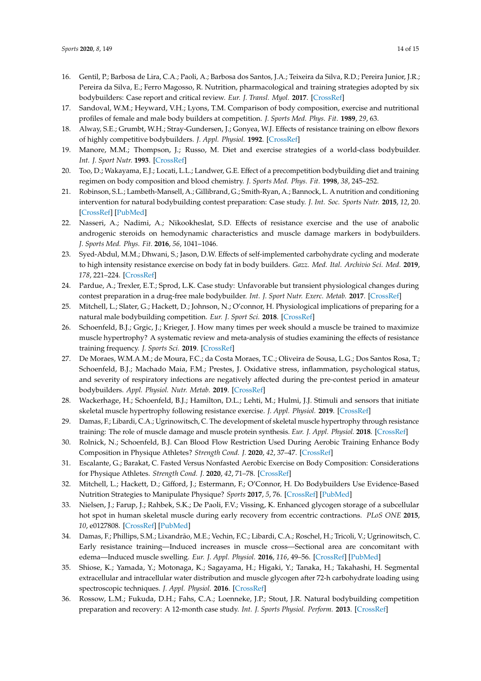- <span id="page-13-9"></span><span id="page-13-8"></span><span id="page-13-7"></span><span id="page-13-6"></span><span id="page-13-5"></span><span id="page-13-4"></span><span id="page-13-3"></span><span id="page-13-2"></span><span id="page-13-1"></span><span id="page-13-0"></span>16. Gentil, P.; Barbosa de Lira, C.A.; Paoli, A.; Barbosa dos Santos, J.A.; Teixeira da Silva, R.D.; Pereira Junior, J.R.; Pereira da Silva, E.; Ferro Magosso, R. Nutrition, pharmacological and training strategies adopted by six bodybuilders: Case report and critical review. *Eur. J. Transl. Myol.* **2017**. [\[CrossRef\]](http://dx.doi.org/10.4081/ejtm.2017.6247)
- <span id="page-13-21"></span><span id="page-13-10"></span>17. Sandoval, W.M.; Heyward, V.H.; Lyons, T.M. Comparison of body composition, exercise and nutritional profiles of female and male body builders at competition. *J. Sports Med. Phys. Fit.* **1989**, *29*, 63.
- <span id="page-13-13"></span>18. Alway, S.E.; Grumbt, W.H.; Stray-Gundersen, J.; Gonyea, W.J. Effects of resistance training on elbow flexors of highly competitive bodybuilders. *J. Appl. Physiol.* **1992**. [\[CrossRef\]](http://dx.doi.org/10.1152/jappl.1992.72.4.1512)
- <span id="page-13-11"></span>19. Manore, M.M.; Thompson, J.; Russo, M. Diet and exercise strategies of a world-class bodybuilder. *Int. J. Sport Nutr.* **1993**. [\[CrossRef\]](http://dx.doi.org/10.1123/ijsn.3.1.76)
- <span id="page-13-14"></span>20. Too, D.; Wakayama, E.J.; Locati, L.L.; Landwer, G.E. Effect of a precompetition bodybuilding diet and training regimen on body composition and blood chemistry. *J. Sports Med. Phys. Fit.* **1998**, *38*, 245–252.
- 21. Robinson, S.L.; Lambeth-Mansell, A.; Gillibrand, G.; Smith-Ryan, A.; Bannock, L. A nutrition and conditioning intervention for natural bodybuilding contest preparation: Case study. *J. Int. Soc. Sports Nutr.* **2015**, *12*, 20. [\[CrossRef\]](http://dx.doi.org/10.1186/s12970-015-0083-x) [\[PubMed\]](http://www.ncbi.nlm.nih.gov/pubmed/25949233)
- <span id="page-13-16"></span>22. Nasseri, A.; Nadimi, A.; Nikookheslat, S.D. Effects of resistance exercise and the use of anabolic androgenic steroids on hemodynamic characteristics and muscle damage markers in bodybuilders. *J. Sports Med. Phys. Fit.* **2016**, *56*, 1041–1046.
- <span id="page-13-12"></span>23. Syed-Abdul, M.M.; Dhwani, S.; Jason, D.W. Effects of self-implemented carbohydrate cycling and moderate to high intensity resistance exercise on body fat in body builders. *Gazz. Med. Ital. Archivio Sci. Med.* **2019**, *178*, 221–224. [\[CrossRef\]](http://dx.doi.org/10.23736/S0393-3660.18.03762-2)
- <span id="page-13-28"></span>24. Pardue, A.; Trexler, E.T.; Sprod, L.K. Case study: Unfavorable but transient physiological changes during contest preparation in a drug-free male bodybuilder. *Int. J. Sport Nutr. Exerc. Metab.* **2017**. [\[CrossRef\]](http://dx.doi.org/10.1123/ijsnem.2017-0064)
- <span id="page-13-26"></span>25. Mitchell, L.; Slater, G.; Hackett, D.; Johnson, N.; O'connor, H. Physiological implications of preparing for a natural male bodybuilding competition. *Eur. J. Sport Sci.* **2018**. [\[CrossRef\]](http://dx.doi.org/10.1080/17461391.2018.1444095)
- <span id="page-13-15"></span>26. Schoenfeld, B.J.; Grgic, J.; Krieger, J. How many times per week should a muscle be trained to maximize muscle hypertrophy? A systematic review and meta-analysis of studies examining the effects of resistance training frequency. *J. Sports Sci.* **2019**. [\[CrossRef\]](http://dx.doi.org/10.1080/02640414.2018.1555906)
- <span id="page-13-17"></span>27. De Moraes, W.M.A.M.; de Moura, F.C.; da Costa Moraes, T.C.; Oliveira de Sousa, L.G.; Dos Santos Rosa, T.; Schoenfeld, B.J.; Machado Maia, F.M.; Prestes, J. Oxidative stress, inflammation, psychological status, and severity of respiratory infections are negatively affected during the pre-contest period in amateur bodybuilders. *Appl. Physiol. Nutr. Metab.* **2019**. [\[CrossRef\]](http://dx.doi.org/10.1139/apnm-2018-0430)
- <span id="page-13-18"></span>28. Wackerhage, H.; Schoenfeld, B.J.; Hamilton, D.L.; Lehti, M.; Hulmi, J.J. Stimuli and sensors that initiate skeletal muscle hypertrophy following resistance exercise. *J. Appl. Physiol.* **2019**. [\[CrossRef\]](http://dx.doi.org/10.1152/japplphysiol.00685.2018)
- <span id="page-13-19"></span>29. Damas, F.; Libardi, C.A.; Ugrinowitsch, C. The development of skeletal muscle hypertrophy through resistance training: The role of muscle damage and muscle protein synthesis. *Eur. J. Appl. Physiol.* **2018**. [\[CrossRef\]](http://dx.doi.org/10.1007/s00421-017-3792-9)
- <span id="page-13-20"></span>30. Rolnick, N.; Schoenfeld, B.J. Can Blood Flow Restriction Used During Aerobic Training Enhance Body Composition in Physique Athletes? *Strength Cond. J.* **2020**, *42*, 37–47. [\[CrossRef\]](http://dx.doi.org/10.1519/SSC.0000000000000585)
- <span id="page-13-22"></span>31. Escalante, G.; Barakat, C. Fasted Versus Nonfasted Aerobic Exercise on Body Composition: Considerations for Physique Athletes. *Strength Cond. J.* **2020**, *42*, 71–78. [\[CrossRef\]](http://dx.doi.org/10.1519/SSC.0000000000000565)
- <span id="page-13-23"></span>32. Mitchell, L.; Hackett, D.; Gifford, J.; Estermann, F.; O'Connor, H. Do Bodybuilders Use Evidence-Based Nutrition Strategies to Manipulate Physique? *Sports* **2017**, *5*, 76. [\[CrossRef\]](http://dx.doi.org/10.3390/sports5040076) [\[PubMed\]](http://www.ncbi.nlm.nih.gov/pubmed/29910436)
- <span id="page-13-24"></span>33. Nielsen, J.; Farup, J.; Rahbek, S.K.; De Paoli, F.V.; Vissing, K. Enhanced glycogen storage of a subcellular hot spot in human skeletal muscle during early recovery from eccentric contractions. *PLoS ONE* **2015**, *10*, e0127808. [\[CrossRef\]](http://dx.doi.org/10.1371/journal.pone.0127808) [\[PubMed\]](http://www.ncbi.nlm.nih.gov/pubmed/25996774)
- <span id="page-13-25"></span>34. Damas, F.; Phillips, S.M.; Lixandrão, M.E.; Vechin, F.C.; Libardi, C.A.; Roschel, H.; Tricoli, V.; Ugrinowitsch, C. Early resistance training—Induced increases in muscle cross—Sectional area are concomitant with edema—Induced muscle swelling. *Eur. J. Appl. Physiol.* **2016**, *116*, 49–56. [\[CrossRef\]](http://dx.doi.org/10.1007/s00421-015-3243-4) [\[PubMed\]](http://www.ncbi.nlm.nih.gov/pubmed/26280652)
- <span id="page-13-27"></span>35. Shiose, K.; Yamada, Y.; Motonaga, K.; Sagayama, H.; Higaki, Y.; Tanaka, H.; Takahashi, H. Segmental extracellular and intracellular water distribution and muscle glycogen after 72-h carbohydrate loading using spectroscopic techniques. *J. Appl. Physiol.* **2016**. [\[CrossRef\]](http://dx.doi.org/10.1152/japplphysiol.00126.2016)
- <span id="page-13-29"></span>36. Rossow, L.M.; Fukuda, D.H.; Fahs, C.A.; Loenneke, J.P.; Stout, J.R. Natural bodybuilding competition preparation and recovery: A 12-month case study. *Int. J. Sports Physiol. Perform.* **2013**. [\[CrossRef\]](http://dx.doi.org/10.1123/ijspp.8.5.582)